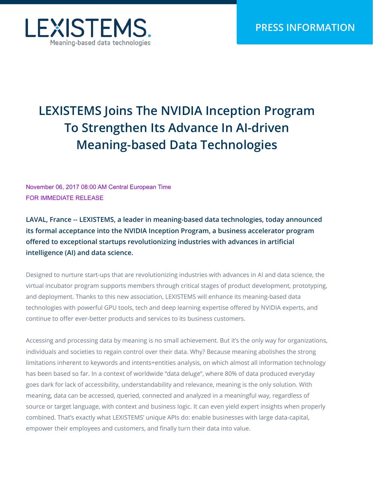

# **LEXISTEMS Joins The NVIDIA Inception Program To Strengthen Its Advance In AI-driven Meaning-based Data Technologies**

November 06, 2017 08:00 AM Central European Time FOR IMMEDIATE RELEASE

**LAVAL, France -- LEXISTEMS, a leader in meaning-based data technologies, today announced its formal acceptance into the NVIDIA Inception Program, a business accelerator program offered to exceptional startups revolutionizing industries with advances in artificial intelligence (AI) and data science.** 

Designed to nurture start-ups that are revolutionizing industries with advances in AI and data science, the virtual incubator program supports members through critical stages of product development, prototyping, and deployment. Thanks to this new association, LEXISTEMS will enhance its meaning-based data technologies with powerful GPU tools, tech and deep learning expertise offered by NVIDIA experts, and continue to offer ever-better products and services to its business customers.

Accessing and processing data by meaning is no small achievement. But it's the only way for organizations, individuals and societies to regain control over their data. Why? Because meaning abolishes the strong limitations inherent to keywords and intents+entities analysis, on which almost all information technology has been based so far. In a context of worldwide "data deluge", where 80% of data produced everyday goes dark for lack of accessibility, understandability and relevance, meaning is the only solution. With meaning, data can be accessed, queried, connected and analyzed in a meaningful way, regardless of source or target language, with context and business logic. It can even yield expert insights when properly combined. That's exactly what LEXISTEMS' unique APIs do: enable businesses with large data-capital, empower their employees and customers, and finally turn their data into value.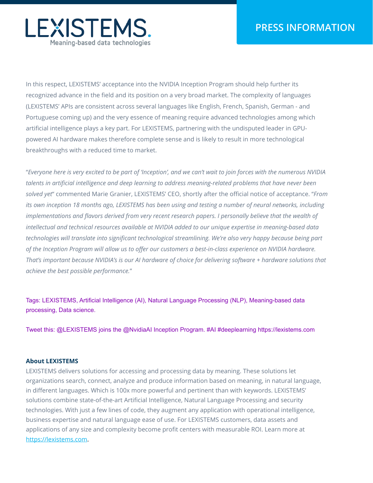

In this respect, LEXISTEMS' acceptance into the NVIDIA Inception Program should help further its recognized advance in the field and its position on a very broad market. The complexity of languages (LEXISTEMS' APIs are consistent across several languages like English, French, Spanish, German - and Portuguese coming up) and the very essence of meaning require advanced technologies among which artificial intelligence plays a key part. For LEXISTEMS, partnering with the undisputed leader in GPUpowered AI hardware makes therefore complete sense and is likely to result in more technological breakthroughs with a reduced time to market.

"*Everyone here is very excited to be part of 'Inception', and we can't wait to join forces with the numerous NVIDIA talents in artificial intelligence and deep learning to address meaning-related problems that have never been solved yet*" commented Marie Granier, LEXISTEMS' CEO, shortly after the official notice of acceptance. "*From its own inception 18 months ago, LEXISTEMS has been using and testing a number of neural networks, including implementations and flavors derived from very recent research papers. I personally believe that the wealth of intellectual and technical resources available at NVIDIA added to our unique expertise in meaning-based data technologies will translate into significant technological streamlining. We're also very happy because being part of the Inception Program will allow us to offer our customers a best-in-class experience on NVIDIA hardware. That's important because NVIDIA's is our AI hardware of choice for delivering software + hardware solutions that achieve the best possible performance.*"

Tags: LEXISTEMS, Artificial Intelligence (AI), Natural Language Processing (NLP), Meaning-based data processing, Data science.

Tweet this: @LEXISTEMS joins the @NvidiaAI Inception Program. #AI #deeplearning https://lexistems.com

#### **About LEXISTEMS**

LEXISTEMS delivers solutions for accessing and processing data by meaning. These solutions let organizations search, connect, analyze and produce information based on meaning, in natural language, in different languages. Which is 100x more powerful and pertinent than with keywords. LEXISTEMS' solutions combine state-of-the-art Artificial Intelligence, Natural Language Processing and security technologies. With just a few lines of code, they augment any application with operational intelligence, business expertise and natural language ease of use. For LEXISTEMS customers, data assets and applications of any size and complexity become profit centers with measurable ROI. Learn more at https://lexistems.com.